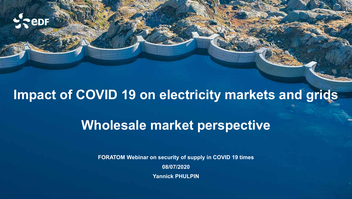

# **Impact of COVID 19 on electricity markets and grids**

# **Wholesale market perspective**

**FORATOM Webinar on security of supply in COVID 19 times 08/07/2020 Yannick PHULPIN**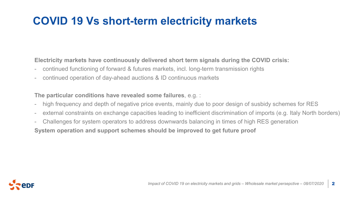### **COVID 19 Vs short-term electricity markets**

**Electricity markets have continuously delivered short term signals during the COVID crisis:**

- continued functioning of forward & futures markets, incl. long-term transmission rights
- continued operation of day-ahead auctions & ID continuous markets

**The particular conditions have revealed some failures**, e.g. :

- high frequency and depth of negative price events, mainly due to poor design of susbidy schemes for RES
- external constraints on exchange capacities leading to inefficient discrimination of imports (e.g. Italy North borders)
- Challenges for system operators to address downwards balancing in times of high RES generation

**System operation and support schemes should be improved to get future proof**